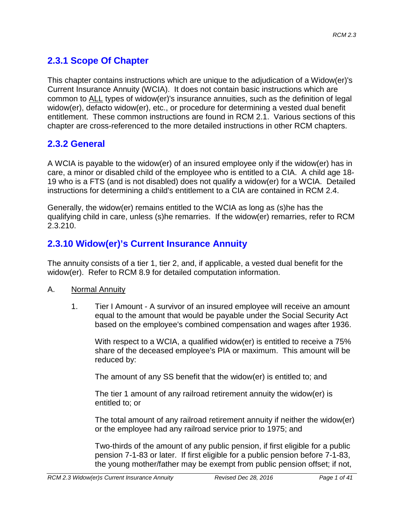# **2.3.1 Scope Of Chapter**

This chapter contains instructions which are unique to the adjudication of a Widow(er)'s Current Insurance Annuity (WCIA). It does not contain basic instructions which are common to ALL types of widow(er)'s insurance annuities, such as the definition of legal widow(er), defacto widow(er), etc., or procedure for determining a vested dual benefit entitlement. These common instructions are found in RCM 2.1. Various sections of this chapter are cross-referenced to the more detailed instructions in other RCM chapters.

## **2.3.2 General**

A WCIA is payable to the widow(er) of an insured employee only if the widow(er) has in care, a minor or disabled child of the employee who is entitled to a CIA. A child age 18- 19 who is a FTS (and is not disabled) does not qualify a widow(er) for a WCIA. Detailed instructions for determining a child's entitlement to a CIA are contained in RCM 2.4.

Generally, the widow(er) remains entitled to the WCIA as long as (s)he has the qualifying child in care, unless (s)he remarries. If the widow(er) remarries, refer to RCM 2.3.210.

# **2.3.10 Widow(er)'s Current Insurance Annuity**

The annuity consists of a tier 1, tier 2, and, if applicable, a vested dual benefit for the widow(er). Refer to RCM 8.9 for detailed computation information.

#### A. Normal Annuity

1. Tier I Amount - A survivor of an insured employee will receive an amount equal to the amount that would be payable under the Social Security Act based on the employee's combined compensation and wages after 1936.

With respect to a WCIA, a qualified widow(er) is entitled to receive a 75% share of the deceased employee's PIA or maximum. This amount will be reduced by:

The amount of any SS benefit that the widow(er) is entitled to; and

The tier 1 amount of any railroad retirement annuity the widow(er) is entitled to; or

The total amount of any railroad retirement annuity if neither the widow(er) or the employee had any railroad service prior to 1975; and

Two-thirds of the amount of any public pension, if first eligible for a public pension 7-1-83 or later. If first eligible for a public pension before 7-1-83, the young mother/father may be exempt from public pension offset; if not,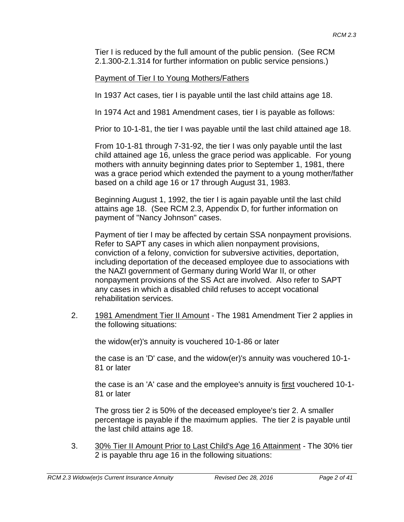Tier I is reduced by the full amount of the public pension. (See RCM 2.1.300-2.1.314 for further information on public service pensions.)

#### Payment of Tier I to Young Mothers/Fathers

In 1937 Act cases, tier I is payable until the last child attains age 18.

In 1974 Act and 1981 Amendment cases, tier I is payable as follows:

Prior to 10-1-81, the tier I was payable until the last child attained age 18.

From 10-1-81 through 7-31-92, the tier I was only payable until the last child attained age 16, unless the grace period was applicable. For young mothers with annuity beginning dates prior to September 1, 1981, there was a grace period which extended the payment to a young mother/father based on a child age 16 or 17 through August 31, 1983.

Beginning August 1, 1992, the tier I is again payable until the last child attains age 18. (See RCM 2.3, Appendix D, for further information on payment of "Nancy Johnson" cases.

Payment of tier I may be affected by certain SSA nonpayment provisions. Refer to SAPT any cases in which alien nonpayment provisions, conviction of a felony, conviction for subversive activities, deportation, including deportation of the deceased employee due to associations with the NAZI government of Germany during World War II, or other nonpayment provisions of the SS Act are involved. Also refer to SAPT any cases in which a disabled child refuses to accept vocational rehabilitation services.

2. 1981 Amendment Tier II Amount - The 1981 Amendment Tier 2 applies in the following situations:

the widow(er)'s annuity is vouchered 10-1-86 or later

the case is an 'D' case, and the widow(er)'s annuity was vouchered 10-1- 81 or later

the case is an 'A' case and the employee's annuity is first vouchered 10-1- 81 or later

The gross tier 2 is 50% of the deceased employee's tier 2. A smaller percentage is payable if the maximum applies. The tier 2 is payable until the last child attains age 18.

3. 30% Tier II Amount Prior to Last Child's Age 16 Attainment - The 30% tier 2 is payable thru age 16 in the following situations: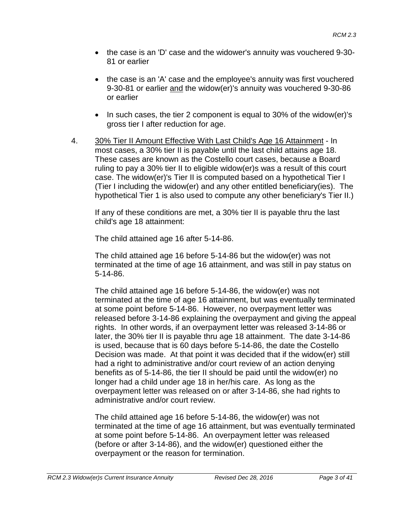- the case is an 'D' case and the widower's annuity was vouchered 9-30- 81 or earlier
- the case is an 'A' case and the employee's annuity was first vouchered 9-30-81 or earlier and the widow(er)'s annuity was vouchered 9-30-86 or earlier
- In such cases, the tier 2 component is equal to 30% of the widow(er)'s gross tier I after reduction for age.
- 4. 30% Tier II Amount Effective With Last Child's Age 16 Attainment In most cases, a 30% tier II is payable until the last child attains age 18. These cases are known as the Costello court cases, because a Board ruling to pay a 30% tier II to eligible widow(er)s was a result of this court case. The widow(er)'s Tier II is computed based on a hypothetical Tier I (Tier I including the widow(er) and any other entitled beneficiary(ies). The hypothetical Tier 1 is also used to compute any other beneficiary's Tier II.)

If any of these conditions are met, a 30% tier II is payable thru the last child's age 18 attainment:

The child attained age 16 after 5-14-86.

The child attained age 16 before 5-14-86 but the widow(er) was not terminated at the time of age 16 attainment, and was still in pay status on 5-14-86.

The child attained age 16 before 5-14-86, the widow(er) was not terminated at the time of age 16 attainment, but was eventually terminated at some point before 5-14-86. However, no overpayment letter was released before 3-14-86 explaining the overpayment and giving the appeal rights. In other words, if an overpayment letter was released 3-14-86 or later, the 30% tier II is payable thru age 18 attainment. The date 3-14-86 is used, because that is 60 days before 5-14-86, the date the Costello Decision was made. At that point it was decided that if the widow(er) still had a right to administrative and/or court review of an action denying benefits as of 5-14-86, the tier II should be paid until the widow(er) no longer had a child under age 18 in her/his care. As long as the overpayment letter was released on or after 3-14-86, she had rights to administrative and/or court review.

The child attained age 16 before 5-14-86, the widow(er) was not terminated at the time of age 16 attainment, but was eventually terminated at some point before 5-14-86. An overpayment letter was released (before or after 3-14-86), and the widow(er) questioned either the overpayment or the reason for termination.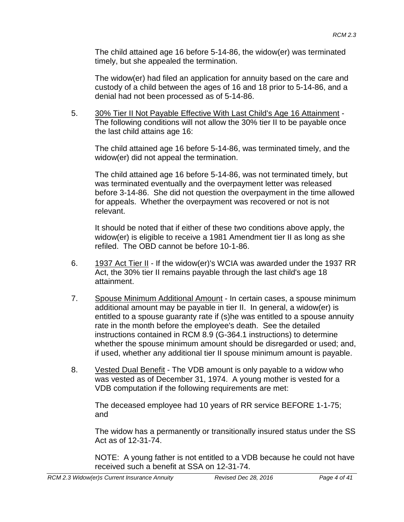The child attained age 16 before 5-14-86, the widow(er) was terminated timely, but she appealed the termination.

The widow(er) had filed an application for annuity based on the care and custody of a child between the ages of 16 and 18 prior to 5-14-86, and a denial had not been processed as of 5-14-86.

5. 30% Tier II Not Payable Effective With Last Child's Age 16 Attainment - The following conditions will not allow the 30% tier II to be payable once the last child attains age 16:

The child attained age 16 before 5-14-86, was terminated timely, and the widow(er) did not appeal the termination.

The child attained age 16 before 5-14-86, was not terminated timely, but was terminated eventually and the overpayment letter was released before 3-14-86. She did not question the overpayment in the time allowed for appeals. Whether the overpayment was recovered or not is not relevant.

It should be noted that if either of these two conditions above apply, the widow(er) is eligible to receive a 1981 Amendment tier II as long as she refiled. The OBD cannot be before 10-1-86.

- 6. 1937 Act Tier II If the widow(er)'s WCIA was awarded under the 1937 RR Act, the 30% tier II remains payable through the last child's age 18 attainment.
- 7. Spouse Minimum Additional Amount In certain cases, a spouse minimum additional amount may be payable in tier II. In general, a widow(er) is entitled to a spouse guaranty rate if (s)he was entitled to a spouse annuity rate in the month before the employee's death. See the detailed instructions contained in RCM 8.9 (G-364.1 instructions) to determine whether the spouse minimum amount should be disregarded or used; and, if used, whether any additional tier II spouse minimum amount is payable.
- 8. Vested Dual Benefit The VDB amount is only payable to a widow who was vested as of December 31, 1974. A young mother is vested for a VDB computation if the following requirements are met:

The deceased employee had 10 years of RR service BEFORE 1-1-75; and

The widow has a permanently or transitionally insured status under the SS Act as of 12-31-74.

NOTE: A young father is not entitled to a VDB because he could not have received such a benefit at SSA on 12-31-74.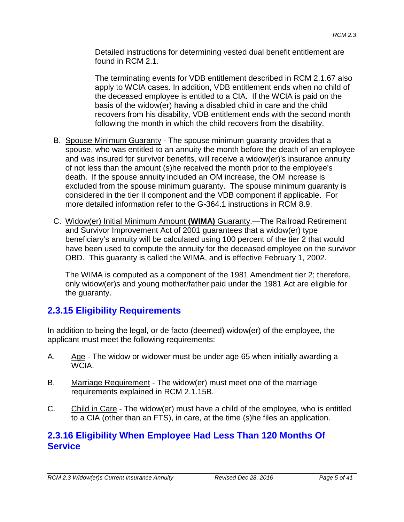Detailed instructions for determining vested dual benefit entitlement are found in RCM 2.1.

The terminating events for VDB entitlement described in RCM 2.1.67 also apply to WCIA cases. In addition, VDB entitlement ends when no child of the deceased employee is entitled to a CIA. If the WCIA is paid on the basis of the widow(er) having a disabled child in care and the child recovers from his disability, VDB entitlement ends with the second month following the month in which the child recovers from the disability.

- B. Spouse Minimum Guaranty The spouse minimum guaranty provides that a spouse, who was entitled to an annuity the month before the death of an employee and was insured for survivor benefits, will receive a widow(er)'s insurance annuity of not less than the amount (s)he received the month prior to the employee's death. If the spouse annuity included an OM increase, the OM increase is excluded from the spouse minimum guaranty. The spouse minimum guaranty is considered in the tier II component and the VDB component if applicable. For more detailed information refer to the G-364.1 instructions in RCM 8.9.
- C. Widow(er) Initial Minimum Amount **(WIMA)** Guaranty.—The Railroad Retirement and Survivor Improvement Act of 2001 guarantees that a widow(er) type beneficiary's annuity will be calculated using 100 percent of the tier 2 that would have been used to compute the annuity for the deceased employee on the survivor OBD. This guaranty is called the WIMA, and is effective February 1, 2002.

The WIMA is computed as a component of the 1981 Amendment tier 2; therefore, only widow(er)s and young mother/father paid under the 1981 Act are eligible for the guaranty.

# **2.3.15 Eligibility Requirements**

In addition to being the legal, or de facto (deemed) widow(er) of the employee, the applicant must meet the following requirements:

- A. Age The widow or widower must be under age 65 when initially awarding a WCIA.
- B. Marriage Requirement The widow(er) must meet one of the marriage requirements explained in RCM 2.1.15B.
- C. Child in Care The widow(er) must have a child of the employee, who is entitled to a CIA (other than an FTS), in care, at the time (s)he files an application.

#### **2.3.16 Eligibility When Employee Had Less Than 120 Months Of Service**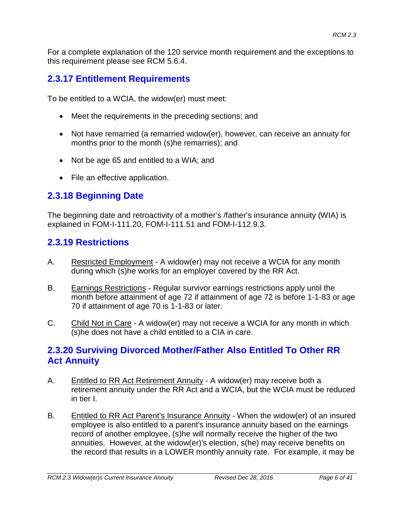For a complete explanation of the 120 service month requirement and the exceptions to this requirement please see RCM 5.6.4.

### **2.3.17 Entitlement Requirements**

To be entitled to a WCIA, the widow(er) must meet:

- Meet the requirements in the preceding sections; and
- Not have remarried (a remarried widow(er), however, can receive an annuity for months prior to the month (s)he remarries); and
- Not be age 65 and entitled to a WIA; and
- File an effective application.

### **2.3.18 Beginning Date**

The beginning date and retroactivity of a mother's /father's insurance annuity (WIA) is explained in FOM-I-111.20, FOM-I-111.51 and FOM-I-112.9.3.

### **2.3.19 Restrictions**

- A. Restricted Employment A widow(er) may not receive a WCIA for any month during which (s)he works for an employer covered by the RR Act.
- B. Earnings Restrictions Regular survivor earnings restrictions apply until the month before attainment of age 72 if attainment of age 72 is before 1-1-83 or age 70 if attainment of age 70 is 1-1-83 or later.
- C. Child Not in Care A widow(er) may not receive a WCIA for any month in which (s)he does not have a child entitled to a CIA in care.

#### **2.3.20 Surviving Divorced Mother/Father Also Entitled To Other RR Act Annuity**

- A. Entitled to RR Act Retirement Annuity A widow(er) may receive both a retirement annuity under the RR Act and a WCIA, but the WCIA must be reduced in tier I.
- B. Entitled to RR Act Parent's Insurance Annuity When the widow(er) of an insured employee is also entitled to a parent's insurance annuity based on the earnings record of another employee, (s)he will normally receive the higher of the two annuities. However, at the widow(er)'s election, s(he) may receive benefits on the record that results in a LOWER monthly annuity rate. For example, it may be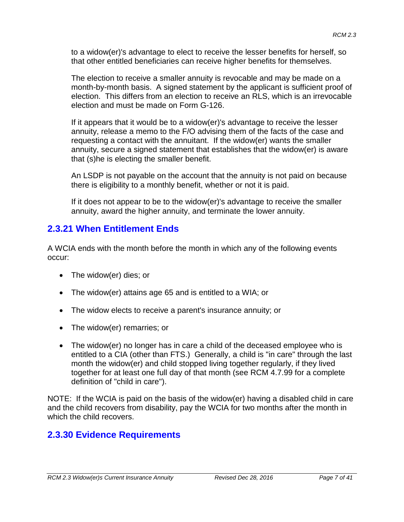to a widow(er)'s advantage to elect to receive the lesser benefits for herself, so that other entitled beneficiaries can receive higher benefits for themselves.

The election to receive a smaller annuity is revocable and may be made on a month-by-month basis. A signed statement by the applicant is sufficient proof of election. This differs from an election to receive an RLS, which is an irrevocable election and must be made on Form G-126.

If it appears that it would be to a widow(er)'s advantage to receive the lesser annuity, release a memo to the F/O advising them of the facts of the case and requesting a contact with the annuitant. If the widow(er) wants the smaller annuity, secure a signed statement that establishes that the widow(er) is aware that (s)he is electing the smaller benefit.

An LSDP is not payable on the account that the annuity is not paid on because there is eligibility to a monthly benefit, whether or not it is paid.

If it does not appear to be to the widow(er)'s advantage to receive the smaller annuity, award the higher annuity, and terminate the lower annuity.

### **2.3.21 When Entitlement Ends**

A WCIA ends with the month before the month in which any of the following events occur:

- The widow(er) dies; or
- The widow(er) attains age 65 and is entitled to a WIA; or
- The widow elects to receive a parent's insurance annuity; or
- The widow(er) remarries; or
- The widow(er) no longer has in care a child of the deceased employee who is entitled to a CIA (other than FTS.) Generally, a child is "in care" through the last month the widow(er) and child stopped living together regularly, if they lived together for at least one full day of that month (see RCM 4.7.99 for a complete definition of "child in care").

NOTE: If the WCIA is paid on the basis of the widow(er) having a disabled child in care and the child recovers from disability, pay the WCIA for two months after the month in which the child recovers.

#### **2.3.30 Evidence Requirements**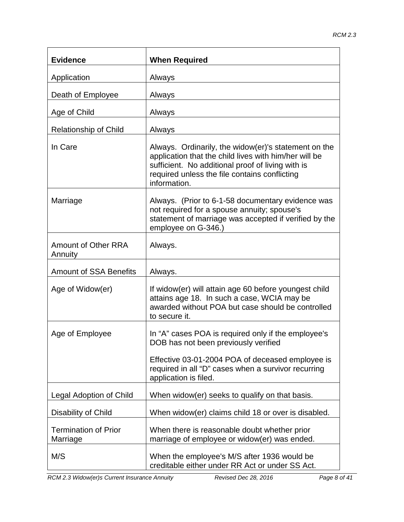| <b>Evidence</b>                         | <b>When Required</b>                                                                                                                                                                                                                |
|-----------------------------------------|-------------------------------------------------------------------------------------------------------------------------------------------------------------------------------------------------------------------------------------|
| Application                             | Always                                                                                                                                                                                                                              |
| Death of Employee                       | Always                                                                                                                                                                                                                              |
| Age of Child                            | Always                                                                                                                                                                                                                              |
| <b>Relationship of Child</b>            | Always                                                                                                                                                                                                                              |
| In Care                                 | Always. Ordinarily, the widow(er)'s statement on the<br>application that the child lives with him/her will be<br>sufficient. No additional proof of living with is<br>required unless the file contains conflicting<br>information. |
| Marriage                                | Always. (Prior to 6-1-58 documentary evidence was<br>not required for a spouse annuity; spouse's<br>statement of marriage was accepted if verified by the<br>employee on G-346.)                                                    |
| <b>Amount of Other RRA</b><br>Annuity   | Always.                                                                                                                                                                                                                             |
| <b>Amount of SSA Benefits</b>           | Always.                                                                                                                                                                                                                             |
| Age of Widow(er)                        | If widow(er) will attain age 60 before youngest child<br>attains age 18. In such a case, WCIA may be<br>awarded without POA but case should be controlled<br>to secure it.                                                          |
| Age of Employee                         | In "A" cases POA is required only if the employee's<br>DOB has not been previously verified                                                                                                                                         |
|                                         | Effective 03-01-2004 POA of deceased employee is<br>required in all "D" cases when a survivor recurring<br>application is filed.                                                                                                    |
| Legal Adoption of Child                 | When widow(er) seeks to qualify on that basis.                                                                                                                                                                                      |
| Disability of Child                     | When widow(er) claims child 18 or over is disabled.                                                                                                                                                                                 |
| <b>Termination of Prior</b><br>Marriage | When there is reasonable doubt whether prior<br>marriage of employee or widow(er) was ended.                                                                                                                                        |
| M/S                                     | When the employee's M/S after 1936 would be<br>creditable either under RR Act or under SS Act.                                                                                                                                      |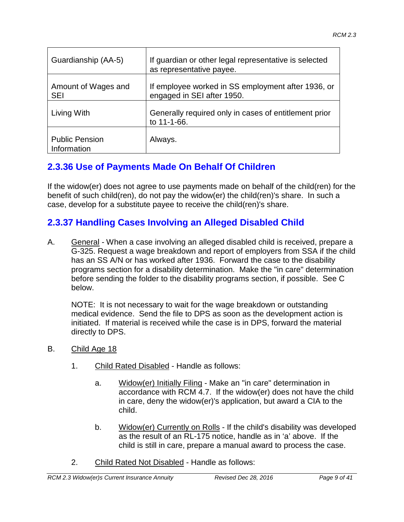| Guardianship (AA-5)                  | If quardian or other legal representative is selected<br>as representative payee. |
|--------------------------------------|-----------------------------------------------------------------------------------|
| Amount of Wages and<br><b>SEI</b>    | If employee worked in SS employment after 1936, or<br>engaged in SEI after 1950.  |
| Living With                          | Generally required only in cases of entitlement prior<br>to 11-1-66.              |
| <b>Public Pension</b><br>Information | Always.                                                                           |

### **2.3.36 Use of Payments Made On Behalf Of Children**

If the widow(er) does not agree to use payments made on behalf of the child(ren) for the benefit of such child(ren), do not pay the widow(er) the child(ren)'s share. In such a case, develop for a substitute payee to receive the child(ren)'s share.

### **2.3.37 Handling Cases Involving an Alleged Disabled Child**

A. General - When a case involving an alleged disabled child is received, prepare a G-325. Request a wage breakdown and report of employers from SSA if the child has an SS A/N or has worked after 1936. Forward the case to the disability programs section for a disability determination. Make the "in care" determination before sending the folder to the disability programs section, if possible. See C below.

NOTE: It is not necessary to wait for the wage breakdown or outstanding medical evidence. Send the file to DPS as soon as the development action is initiated. If material is received while the case is in DPS, forward the material directly to DPS.

- B. Child Age 18
	- 1. Child Rated Disabled Handle as follows:
		- a. Widow(er) Initially Filing Make an "in care" determination in accordance with RCM 4.7. If the widow(er) does not have the child in care, deny the widow(er)'s application, but award a CIA to the child.
		- b. Widow(er) Currently on Rolls If the child's disability was developed as the result of an RL-175 notice, handle as in 'a' above. If the child is still in care, prepare a manual award to process the case.
	- 2. Child Rated Not Disabled Handle as follows: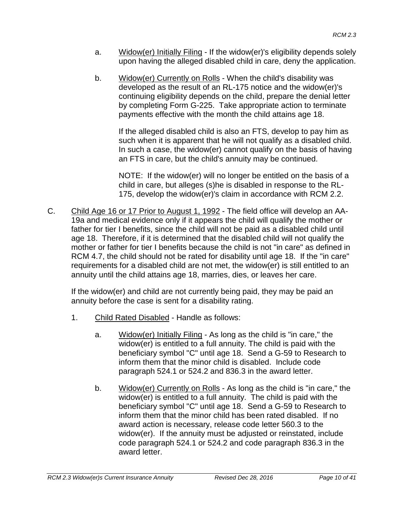- a. Widow(er) Initially Filing If the widow(er)'s eligibility depends solely upon having the alleged disabled child in care, deny the application.
- b. Widow(er) Currently on Rolls When the child's disability was developed as the result of an RL-175 notice and the widow(er)'s continuing eligibility depends on the child, prepare the denial letter by completing Form G-225. Take appropriate action to terminate payments effective with the month the child attains age 18.

If the alleged disabled child is also an FTS, develop to pay him as such when it is apparent that he will not qualify as a disabled child. In such a case, the widow(er) cannot qualify on the basis of having an FTS in care, but the child's annuity may be continued.

NOTE: If the widow(er) will no longer be entitled on the basis of a child in care, but alleges (s)he is disabled in response to the RL-175, develop the widow(er)'s claim in accordance with RCM 2.2.

C. Child Age 16 or 17 Prior to August 1, 1992 - The field office will develop an AA-19a and medical evidence only if it appears the child will qualify the mother or father for tier I benefits, since the child will not be paid as a disabled child until age 18. Therefore, if it is determined that the disabled child will not qualify the mother or father for tier I benefits because the child is not "in care" as defined in RCM 4.7, the child should not be rated for disability until age 18. If the "in care" requirements for a disabled child are not met, the widow(er) is still entitled to an annuity until the child attains age 18, marries, dies, or leaves her care.

If the widow(er) and child are not currently being paid, they may be paid an annuity before the case is sent for a disability rating.

- 1. Child Rated Disabled Handle as follows:
	- a. Widow(er) Initially Filing As long as the child is "in care," the widow(er) is entitled to a full annuity. The child is paid with the beneficiary symbol "C" until age 18. Send a G-59 to Research to inform them that the minor child is disabled. Include code paragraph 524.1 or 524.2 and 836.3 in the award letter.
	- b. Widow(er) Currently on Rolls As long as the child is "in care," the widow(er) is entitled to a full annuity. The child is paid with the beneficiary symbol "C" until age 18. Send a G-59 to Research to inform them that the minor child has been rated disabled. If no award action is necessary, release code letter 560.3 to the widow(er). If the annuity must be adjusted or reinstated, include code paragraph 524.1 or 524.2 and code paragraph 836.3 in the award letter.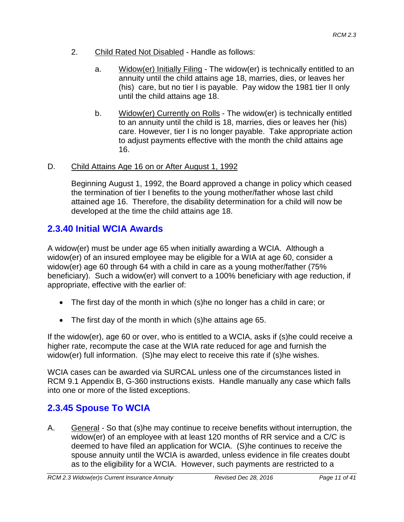- 2. Child Rated Not Disabled Handle as follows:
	- a. Widow(er) Initially Filing The widow(er) is technically entitled to an annuity until the child attains age 18, marries, dies, or leaves her (his) care, but no tier I is payable. Pay widow the 1981 tier II only until the child attains age 18.
	- b. Widow(er) Currently on Rolls The widow(er) is technically entitled to an annuity until the child is 18, marries, dies or leaves her (his) care. However, tier I is no longer payable. Take appropriate action to adjust payments effective with the month the child attains age 16.

#### D. Child Attains Age 16 on or After August 1, 1992

Beginning August 1, 1992, the Board approved a change in policy which ceased the termination of tier I benefits to the young mother/father whose last child attained age 16. Therefore, the disability determination for a child will now be developed at the time the child attains age 18.

### **2.3.40 Initial WCIA Awards**

A widow(er) must be under age 65 when initially awarding a WCIA. Although a widow(er) of an insured employee may be eligible for a WIA at age 60, consider a widow(er) age 60 through 64 with a child in care as a young mother/father (75% beneficiary). Such a widow(er) will convert to a 100% beneficiary with age reduction, if appropriate, effective with the earlier of:

- The first day of the month in which (s)he no longer has a child in care; or
- The first day of the month in which (s)he attains age 65.

If the widow(er), age 60 or over, who is entitled to a WCIA, asks if (s)he could receive a higher rate, recompute the case at the WIA rate reduced for age and furnish the widow(er) full information. (S)he may elect to receive this rate if (s)he wishes.

WCIA cases can be awarded via SURCAL unless one of the circumstances listed in RCM 9.1 Appendix B, G-360 instructions exists. Handle manually any case which falls into one or more of the listed exceptions.

### **2.3.45 Spouse To WCIA**

A. General - So that (s)he may continue to receive benefits without interruption, the widow(er) of an employee with at least 120 months of RR service and a C/C is deemed to have filed an application for WCIA. (S)he continues to receive the spouse annuity until the WCIA is awarded, unless evidence in file creates doubt as to the eligibility for a WCIA. However, such payments are restricted to a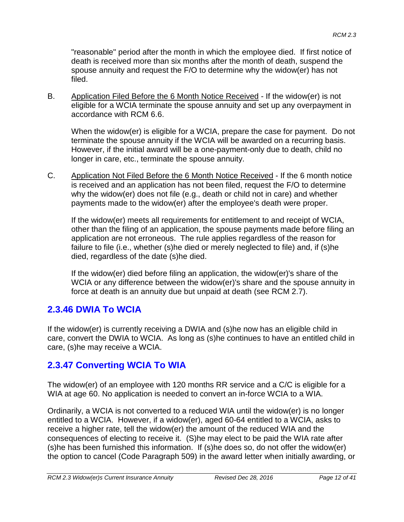"reasonable" period after the month in which the employee died. If first notice of death is received more than six months after the month of death, suspend the spouse annuity and request the F/O to determine why the widow(er) has not filed.

B. Application Filed Before the 6 Month Notice Received - If the widow(er) is not eligible for a WCIA terminate the spouse annuity and set up any overpayment in accordance with RCM 6.6.

When the widow(er) is eligible for a WCIA, prepare the case for payment. Do not terminate the spouse annuity if the WCIA will be awarded on a recurring basis. However, if the initial award will be a one-payment-only due to death, child no longer in care, etc., terminate the spouse annuity.

C. Application Not Filed Before the 6 Month Notice Received - If the 6 month notice is received and an application has not been filed, request the F/O to determine why the widow(er) does not file (e.g., death or child not in care) and whether payments made to the widow(er) after the employee's death were proper.

If the widow(er) meets all requirements for entitlement to and receipt of WCIA, other than the filing of an application, the spouse payments made before filing an application are not erroneous. The rule applies regardless of the reason for failure to file (i.e., whether (s)he died or merely neglected to file) and, if (s)he died, regardless of the date (s)he died.

If the widow(er) died before filing an application, the widow(er)'s share of the WCIA or any difference between the widow(er)'s share and the spouse annuity in force at death is an annuity due but unpaid at death (see RCM 2.7).

### **2.3.46 DWIA To WCIA**

If the widow(er) is currently receiving a DWIA and (s)he now has an eligible child in care, convert the DWIA to WCIA. As long as (s)he continues to have an entitled child in care, (s)he may receive a WCIA.

# **2.3.47 Converting WCIA To WIA**

The widow(er) of an employee with 120 months RR service and a C/C is eligible for a WIA at age 60. No application is needed to convert an in-force WCIA to a WIA.

Ordinarily, a WCIA is not converted to a reduced WIA until the widow(er) is no longer entitled to a WCIA. However, if a widow(er), aged 60-64 entitled to a WCIA, asks to receive a higher rate, tell the widow(er) the amount of the reduced WIA and the consequences of electing to receive it. (S)he may elect to be paid the WIA rate after (s)he has been furnished this information. If (s)he does so, do not offer the widow(er) the option to cancel (Code Paragraph 509) in the award letter when initially awarding, or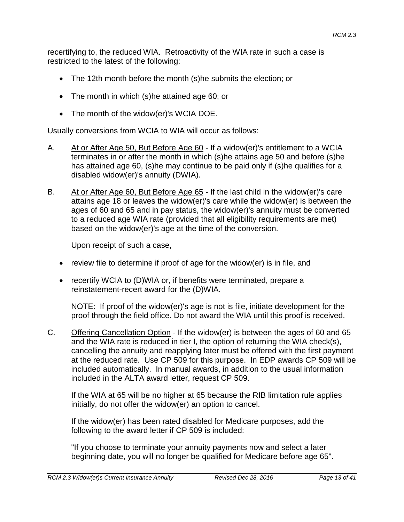recertifying to, the reduced WIA. Retroactivity of the WIA rate in such a case is restricted to the latest of the following:

- The 12th month before the month (s)he submits the election; or
- The month in which (s)he attained age 60; or
- The month of the widow(er)'s WCIA DOE.

Usually conversions from WCIA to WIA will occur as follows:

- A. At or After Age 50, But Before Age 60 If a widow(er)'s entitlement to a WCIA terminates in or after the month in which (s)he attains age 50 and before (s)he has attained age 60, (s)he may continue to be paid only if (s)he qualifies for a disabled widow(er)'s annuity (DWIA).
- B. At or After Age 60, But Before Age 65 If the last child in the widow(er)'s care attains age 18 or leaves the widow(er)'s care while the widow(er) is between the ages of 60 and 65 and in pay status, the widow(er)'s annuity must be converted to a reduced age WIA rate (provided that all eligibility requirements are met) based on the widow(er)'s age at the time of the conversion.

Upon receipt of such a case,

- review file to determine if proof of age for the widow(er) is in file, and
- recertify WCIA to (D)WIA or, if benefits were terminated, prepare a reinstatement-recert award for the (D)WIA.

NOTE: If proof of the widow(er)'s age is not is file, initiate development for the proof through the field office. Do not award the WIA until this proof is received.

C. Offering Cancellation Option - If the widow(er) is between the ages of 60 and 65 and the WIA rate is reduced in tier I, the option of returning the WIA check(s), cancelling the annuity and reapplying later must be offered with the first payment at the reduced rate. Use CP 509 for this purpose. In EDP awards CP 509 will be included automatically. In manual awards, in addition to the usual information included in the ALTA award letter, request CP 509.

If the WIA at 65 will be no higher at 65 because the RIB limitation rule applies initially, do not offer the widow(er) an option to cancel.

If the widow(er) has been rated disabled for Medicare purposes, add the following to the award letter if CP 509 is included:

"If you choose to terminate your annuity payments now and select a later beginning date, you will no longer be qualified for Medicare before age 65".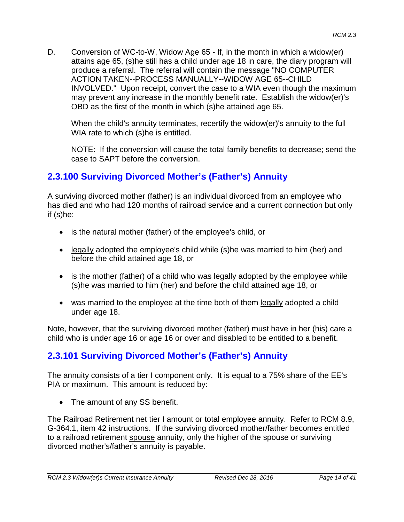D. Conversion of WC-to-W, Widow Age 65 - If, in the month in which a widow(er) attains age 65, (s)he still has a child under age 18 in care, the diary program will produce a referral. The referral will contain the message "NO COMPUTER ACTION TAKEN--PROCESS MANUALLY--WIDOW AGE 65--CHILD INVOLVED." Upon receipt, convert the case to a WIA even though the maximum may prevent any increase in the monthly benefit rate. Establish the widow(er)'s OBD as the first of the month in which (s)he attained age 65.

When the child's annuity terminates, recertify the widow(er)'s annuity to the full WIA rate to which (s)he is entitled.

NOTE: If the conversion will cause the total family benefits to decrease; send the case to SAPT before the conversion.

# **2.3.100 Surviving Divorced Mother's (Father's) Annuity**

A surviving divorced mother (father) is an individual divorced from an employee who has died and who had 120 months of railroad service and a current connection but only if (s)he:

- is the natural mother (father) of the employee's child, or
- legally adopted the employee's child while (s)he was married to him (her) and before the child attained age 18, or
- is the mother (father) of a child who was legally adopted by the employee while (s)he was married to him (her) and before the child attained age 18, or
- was married to the employee at the time both of them legally adopted a child under age 18.

Note, however, that the surviving divorced mother (father) must have in her (his) care a child who is under age 16 or age 16 or over and disabled to be entitled to a benefit.

# **2.3.101 Surviving Divorced Mother's (Father's) Annuity**

The annuity consists of a tier I component only. It is equal to a 75% share of the EE's PIA or maximum. This amount is reduced by:

• The amount of any SS benefit.

The Railroad Retirement net tier I amount or total employee annuity. Refer to RCM 8.9, G-364.1, item 42 instructions. If the surviving divorced mother/father becomes entitled to a railroad retirement spouse annuity, only the higher of the spouse or surviving divorced mother's/father's annuity is payable.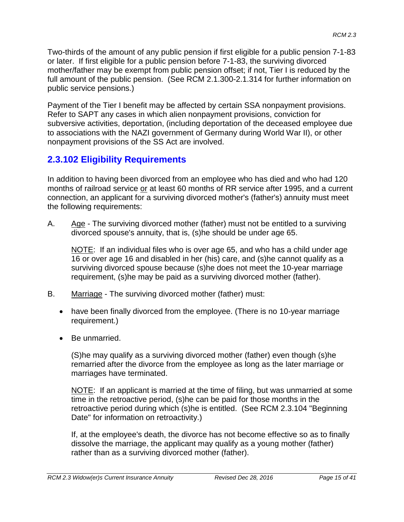Two-thirds of the amount of any public pension if first eligible for a public pension 7-1-83 or later. If first eligible for a public pension before 7-1-83, the surviving divorced mother/father may be exempt from public pension offset; if not, Tier I is reduced by the full amount of the public pension. (See RCM 2.1.300-2.1.314 for further information on public service pensions.)

Payment of the Tier I benefit may be affected by certain SSA nonpayment provisions. Refer to SAPT any cases in which alien nonpayment provisions, conviction for subversive activities, deportation, (including deportation of the deceased employee due to associations with the NAZI government of Germany during World War II), or other nonpayment provisions of the SS Act are involved.

# **2.3.102 Eligibility Requirements**

In addition to having been divorced from an employee who has died and who had 120 months of railroad service or at least 60 months of RR service after 1995, and a current connection, an applicant for a surviving divorced mother's (father's) annuity must meet the following requirements:

A. Age - The surviving divorced mother (father) must not be entitled to a surviving divorced spouse's annuity, that is, (s)he should be under age 65.

NOTE: If an individual files who is over age 65, and who has a child under age 16 or over age 16 and disabled in her (his) care, and (s)he cannot qualify as a surviving divorced spouse because (s)he does not meet the 10-year marriage requirement, (s)he may be paid as a surviving divorced mother (father).

- B. Marriage The surviving divorced mother (father) must:
	- have been finally divorced from the employee. (There is no 10-year marriage requirement.)
	- Be unmarried.

(S)he may qualify as a surviving divorced mother (father) even though (s)he remarried after the divorce from the employee as long as the later marriage or marriages have terminated.

NOTE: If an applicant is married at the time of filing, but was unmarried at some time in the retroactive period, (s)he can be paid for those months in the retroactive period during which (s)he is entitled. (See RCM 2.3.104 "Beginning Date" for information on retroactivity.)

If, at the employee's death, the divorce has not become effective so as to finally dissolve the marriage, the applicant may qualify as a young mother (father) rather than as a surviving divorced mother (father).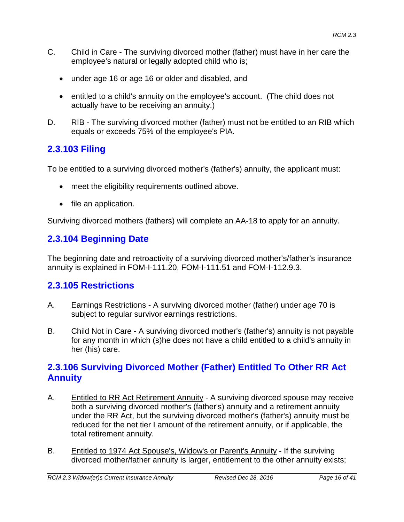- C. Child in Care The surviving divorced mother (father) must have in her care the employee's natural or legally adopted child who is;
	- under age 16 or age 16 or older and disabled, and
	- entitled to a child's annuity on the employee's account. (The child does not actually have to be receiving an annuity.)
- D. RIB The surviving divorced mother (father) must not be entitled to an RIB which equals or exceeds 75% of the employee's PIA.

# **2.3.103 Filing**

To be entitled to a surviving divorced mother's (father's) annuity, the applicant must:

- meet the eligibility requirements outlined above.
- file an application.

Surviving divorced mothers (fathers) will complete an AA-18 to apply for an annuity.

# **2.3.104 Beginning Date**

The beginning date and retroactivity of a surviving divorced mother's/father's insurance annuity is explained in FOM-I-111.20, FOM-I-111.51 and FOM-I-112.9.3.

# **2.3.105 Restrictions**

- A. Earnings Restrictions A surviving divorced mother (father) under age 70 is subject to regular survivor earnings restrictions.
- B. Child Not in Care A surviving divorced mother's (father's) annuity is not payable for any month in which (s)he does not have a child entitled to a child's annuity in her (his) care.

### **2.3.106 Surviving Divorced Mother (Father) Entitled To Other RR Act Annuity**

- A. Entitled to RR Act Retirement Annuity A surviving divorced spouse may receive both a surviving divorced mother's (father's) annuity and a retirement annuity under the RR Act, but the surviving divorced mother's (father's) annuity must be reduced for the net tier I amount of the retirement annuity, or if applicable, the total retirement annuity.
- B. Entitled to 1974 Act Spouse's, Widow's or Parent's Annuity If the surviving divorced mother/father annuity is larger, entitlement to the other annuity exists;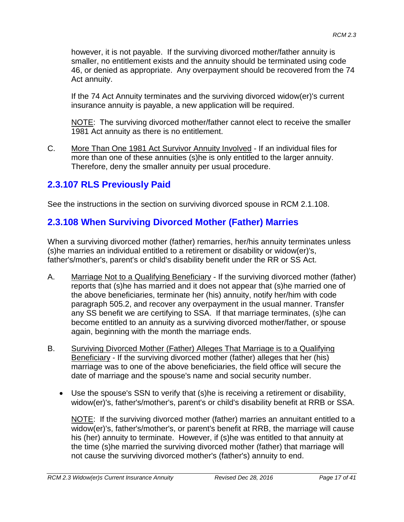however, it is not payable. If the surviving divorced mother/father annuity is smaller, no entitlement exists and the annuity should be terminated using code 46, or denied as appropriate. Any overpayment should be recovered from the 74 Act annuity.

If the 74 Act Annuity terminates and the surviving divorced widow(er)'s current insurance annuity is payable, a new application will be required.

NOTE: The surviving divorced mother/father cannot elect to receive the smaller 1981 Act annuity as there is no entitlement.

C. More Than One 1981 Act Survivor Annuity Involved - If an individual files for more than one of these annuities (s)he is only entitled to the larger annuity. Therefore, deny the smaller annuity per usual procedure.

## **2.3.107 RLS Previously Paid**

See the instructions in the section on surviving divorced spouse in RCM 2.1.108.

# **2.3.108 When Surviving Divorced Mother (Father) Marries**

When a surviving divorced mother (father) remarries, her/his annuity terminates unless (s)he marries an individual entitled to a retirement or disability or widow(er)'s, father's/mother's, parent's or child's disability benefit under the RR or SS Act.

- A. Marriage Not to a Qualifying Beneficiary If the surviving divorced mother (father) reports that (s)he has married and it does not appear that (s)he married one of the above beneficiaries, terminate her (his) annuity, notify her/him with code paragraph 505.2, and recover any overpayment in the usual manner. Transfer any SS benefit we are certifying to SSA. If that marriage terminates, (s)he can become entitled to an annuity as a surviving divorced mother/father, or spouse again, beginning with the month the marriage ends.
- B. Surviving Divorced Mother (Father) Alleges That Marriage is to a Qualifying Beneficiary - If the surviving divorced mother (father) alleges that her (his) marriage was to one of the above beneficiaries, the field office will secure the date of marriage and the spouse's name and social security number.
	- Use the spouse's SSN to verify that (s)he is receiving a retirement or disability, widow(er)'s, father's/mother's, parent's or child's disability benefit at RRB or SSA.

NOTE: If the surviving divorced mother (father) marries an annuitant entitled to a widow(er)'s, father's/mother's, or parent's benefit at RRB, the marriage will cause his (her) annuity to terminate. However, if (s)he was entitled to that annuity at the time (s)he married the surviving divorced mother (father) that marriage will not cause the surviving divorced mother's (father's) annuity to end.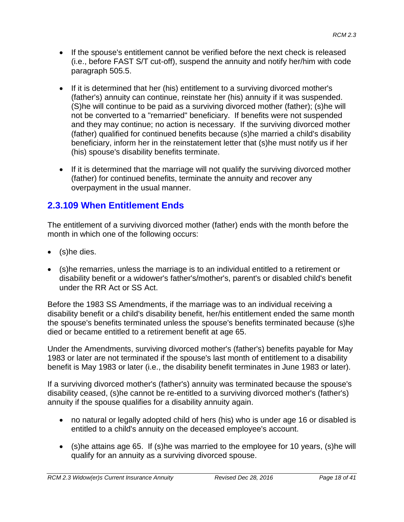- If the spouse's entitlement cannot be verified before the next check is released (i.e., before FAST S/T cut-off), suspend the annuity and notify her/him with code paragraph 505.5.
- If it is determined that her (his) entitlement to a surviving divorced mother's (father's) annuity can continue, reinstate her (his) annuity if it was suspended. (S)he will continue to be paid as a surviving divorced mother (father); (s)he will not be converted to a "remarried" beneficiary. If benefits were not suspended and they may continue; no action is necessary. If the surviving divorced mother (father) qualified for continued benefits because (s)he married a child's disability beneficiary, inform her in the reinstatement letter that (s)he must notify us if her (his) spouse's disability benefits terminate.
- If it is determined that the marriage will not qualify the surviving divorced mother (father) for continued benefits, terminate the annuity and recover any overpayment in the usual manner.

# **2.3.109 When Entitlement Ends**

The entitlement of a surviving divorced mother (father) ends with the month before the month in which one of the following occurs:

- (s)he dies.
- (s)he remarries, unless the marriage is to an individual entitled to a retirement or disability benefit or a widower's father's/mother's, parent's or disabled child's benefit under the RR Act or SS Act.

Before the 1983 SS Amendments, if the marriage was to an individual receiving a disability benefit or a child's disability benefit, her/his entitlement ended the same month the spouse's benefits terminated unless the spouse's benefits terminated because (s)he died or became entitled to a retirement benefit at age 65.

Under the Amendments, surviving divorced mother's (father's) benefits payable for May 1983 or later are not terminated if the spouse's last month of entitlement to a disability benefit is May 1983 or later (i.e., the disability benefit terminates in June 1983 or later).

If a surviving divorced mother's (father's) annuity was terminated because the spouse's disability ceased, (s)he cannot be re-entitled to a surviving divorced mother's (father's) annuity if the spouse qualifies for a disability annuity again.

- no natural or legally adopted child of hers (his) who is under age 16 or disabled is entitled to a child's annuity on the deceased employee's account.
- (s)he attains age 65. If (s)he was married to the employee for 10 years, (s)he will qualify for an annuity as a surviving divorced spouse.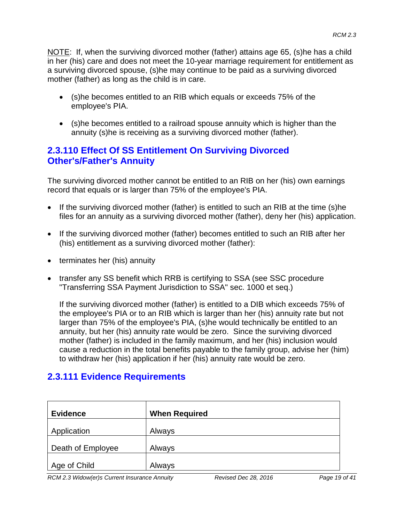NOTE: If, when the surviving divorced mother (father) attains age 65, (s)he has a child in her (his) care and does not meet the 10-year marriage requirement for entitlement as a surviving divorced spouse, (s)he may continue to be paid as a surviving divorced mother (father) as long as the child is in care.

- (s)he becomes entitled to an RIB which equals or exceeds 75% of the employee's PIA.
- (s)he becomes entitled to a railroad spouse annuity which is higher than the annuity (s)he is receiving as a surviving divorced mother (father).

#### **2.3.110 Effect Of SS Entitlement On Surviving Divorced Other's/Father's Annuity**

The surviving divorced mother cannot be entitled to an RIB on her (his) own earnings record that equals or is larger than 75% of the employee's PIA.

- If the surviving divorced mother (father) is entitled to such an RIB at the time (s)he files for an annuity as a surviving divorced mother (father), deny her (his) application.
- If the surviving divorced mother (father) becomes entitled to such an RIB after her (his) entitlement as a surviving divorced mother (father):
- terminates her (his) annuity
- transfer any SS benefit which RRB is certifying to SSA (see SSC procedure "Transferring SSA Payment Jurisdiction to SSA" sec. 1000 et seq.)

If the surviving divorced mother (father) is entitled to a DIB which exceeds 75% of the employee's PIA or to an RIB which is larger than her (his) annuity rate but not larger than 75% of the employee's PIA, (s)he would technically be entitled to an annuity, but her (his) annuity rate would be zero. Since the surviving divorced mother (father) is included in the family maximum, and her (his) inclusion would cause a reduction in the total benefits payable to the family group, advise her (him) to withdraw her (his) application if her (his) annuity rate would be zero.

### **2.3.111 Evidence Requirements**

| <b>Evidence</b>   | <b>When Required</b> |
|-------------------|----------------------|
| Application       | Always               |
| Death of Employee | Always               |
| Age of Child      | Always               |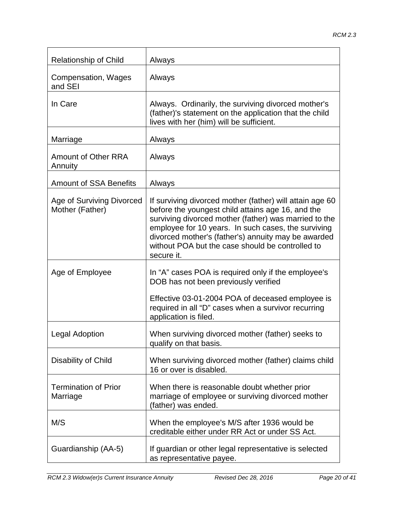| <b>Relationship of Child</b>                 | Always                                                                                                                                                                                                                                                                                                                                                 |
|----------------------------------------------|--------------------------------------------------------------------------------------------------------------------------------------------------------------------------------------------------------------------------------------------------------------------------------------------------------------------------------------------------------|
| Compensation, Wages<br>and SEI               | Always                                                                                                                                                                                                                                                                                                                                                 |
| In Care                                      | Always. Ordinarily, the surviving divorced mother's<br>(father)'s statement on the application that the child<br>lives with her (him) will be sufficient.                                                                                                                                                                                              |
| Marriage                                     | Always                                                                                                                                                                                                                                                                                                                                                 |
| <b>Amount of Other RRA</b><br>Annuity        | Always                                                                                                                                                                                                                                                                                                                                                 |
| <b>Amount of SSA Benefits</b>                | Always                                                                                                                                                                                                                                                                                                                                                 |
| Age of Surviving Divorced<br>Mother (Father) | If surviving divorced mother (father) will attain age 60<br>before the youngest child attains age 16, and the<br>surviving divorced mother (father) was married to the<br>employee for 10 years. In such cases, the surviving<br>divorced mother's (father's) annuity may be awarded<br>without POA but the case should be controlled to<br>secure it. |
| Age of Employee                              | In "A" cases POA is required only if the employee's<br>DOB has not been previously verified                                                                                                                                                                                                                                                            |
|                                              | Effective 03-01-2004 POA of deceased employee is<br>required in all "D" cases when a survivor recurring<br>application is filed.                                                                                                                                                                                                                       |
| <b>Legal Adoption</b>                        | When surviving divorced mother (father) seeks to<br>qualify on that basis.                                                                                                                                                                                                                                                                             |
| Disability of Child                          | When surviving divorced mother (father) claims child<br>16 or over is disabled.                                                                                                                                                                                                                                                                        |
| <b>Termination of Prior</b><br>Marriage      | When there is reasonable doubt whether prior<br>marriage of employee or surviving divorced mother<br>(father) was ended.                                                                                                                                                                                                                               |
| M/S                                          | When the employee's M/S after 1936 would be<br>creditable either under RR Act or under SS Act.                                                                                                                                                                                                                                                         |
| Guardianship (AA-5)                          | If guardian or other legal representative is selected<br>as representative payee.                                                                                                                                                                                                                                                                      |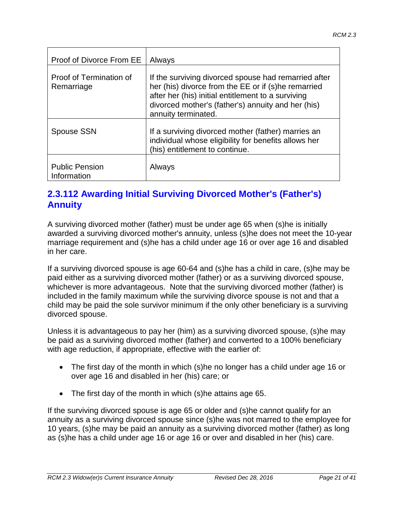| Proof of Divorce From EE              | Always                                                                                                                                                                                                                                         |
|---------------------------------------|------------------------------------------------------------------------------------------------------------------------------------------------------------------------------------------------------------------------------------------------|
| Proof of Termination of<br>Remarriage | If the surviving divorced spouse had remarried after<br>her (his) divorce from the EE or if (s)he remarried<br>after her (his) initial entitlement to a surviving<br>divorced mother's (father's) annuity and her (his)<br>annuity terminated. |
| <b>Spouse SSN</b>                     | If a surviving divorced mother (father) marries an<br>individual whose eligibility for benefits allows her<br>(his) entitlement to continue.                                                                                                   |
| <b>Public Pension</b><br>Information  | Always                                                                                                                                                                                                                                         |

#### **2.3.112 Awarding Initial Surviving Divorced Mother's (Father's) Annuity**

A surviving divorced mother (father) must be under age 65 when (s)he is initially awarded a surviving divorced mother's annuity, unless (s)he does not meet the 10-year marriage requirement and (s)he has a child under age 16 or over age 16 and disabled in her care.

If a surviving divorced spouse is age 60-64 and (s)he has a child in care, (s)he may be paid either as a surviving divorced mother (father) or as a surviving divorced spouse, whichever is more advantageous. Note that the surviving divorced mother (father) is included in the family maximum while the surviving divorce spouse is not and that a child may be paid the sole survivor minimum if the only other beneficiary is a surviving divorced spouse.

Unless it is advantageous to pay her (him) as a surviving divorced spouse, (s)he may be paid as a surviving divorced mother (father) and converted to a 100% beneficiary with age reduction, if appropriate, effective with the earlier of:

- The first day of the month in which (s)he no longer has a child under age 16 or over age 16 and disabled in her (his) care; or
- The first day of the month in which (s)he attains age 65.

If the surviving divorced spouse is age 65 or older and (s)he cannot qualify for an annuity as a surviving divorced spouse since (s)he was not marred to the employee for 10 years, (s)he may be paid an annuity as a surviving divorced mother (father) as long as (s)he has a child under age 16 or age 16 or over and disabled in her (his) care.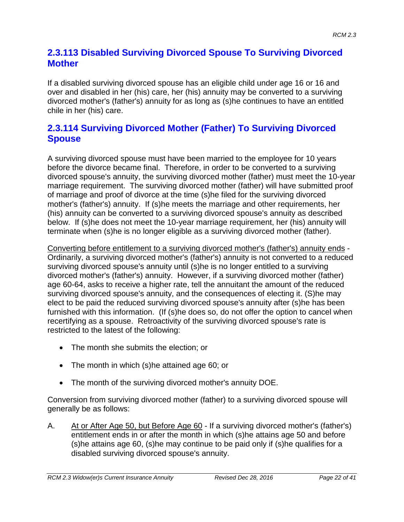#### **2.3.113 Disabled Surviving Divorced Spouse To Surviving Divorced Mother**

If a disabled surviving divorced spouse has an eligible child under age 16 or 16 and over and disabled in her (his) care, her (his) annuity may be converted to a surviving divorced mother's (father's) annuity for as long as (s)he continues to have an entitled chile in her (his) care.

### **2.3.114 Surviving Divorced Mother (Father) To Surviving Divorced Spouse**

A surviving divorced spouse must have been married to the employee for 10 years before the divorce became final. Therefore, in order to be converted to a surviving divorced spouse's annuity, the surviving divorced mother (father) must meet the 10-year marriage requirement. The surviving divorced mother (father) will have submitted proof of marriage and proof of divorce at the time (s)he filed for the surviving divorced mother's (father's) annuity. If (s)he meets the marriage and other requirements, her (his) annuity can be converted to a surviving divorced spouse's annuity as described below. If (s)he does not meet the 10-year marriage requirement, her (his) annuity will terminate when (s)he is no longer eligible as a surviving divorced mother (father).

Converting before entitlement to a surviving divorced mother's (father's) annuity ends - Ordinarily, a surviving divorced mother's (father's) annuity is not converted to a reduced surviving divorced spouse's annuity until (s)he is no longer entitled to a surviving divorced mother's (father's) annuity. However, if a surviving divorced mother (father) age 60-64, asks to receive a higher rate, tell the annuitant the amount of the reduced surviving divorced spouse's annuity, and the consequences of electing it. (S)he may elect to be paid the reduced surviving divorced spouse's annuity after (s)he has been furnished with this information. (If (s)he does so, do not offer the option to cancel when recertifying as a spouse. Retroactivity of the surviving divorced spouse's rate is restricted to the latest of the following:

- The month she submits the election; or
- The month in which (s)he attained age 60; or
- The month of the surviving divorced mother's annuity DOE.

Conversion from surviving divorced mother (father) to a surviving divorced spouse will generally be as follows:

A. At or After Age 50, but Before Age 60 - If a surviving divorced mother's (father's) entitlement ends in or after the month in which (s)he attains age 50 and before (s)he attains age 60, (s)he may continue to be paid only if (s)he qualifies for a disabled surviving divorced spouse's annuity.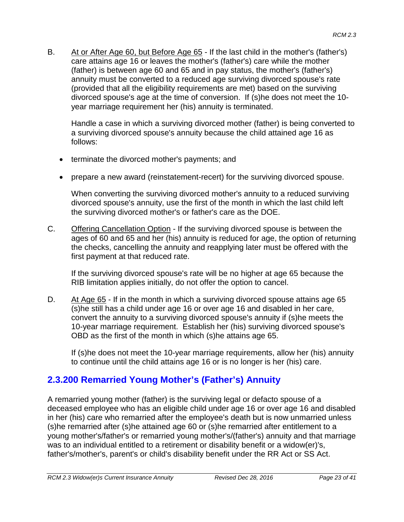B. At or After Age 60, but Before Age 65 - If the last child in the mother's (father's) care attains age 16 or leaves the mother's (father's) care while the mother (father) is between age 60 and 65 and in pay status, the mother's (father's) annuity must be converted to a reduced age surviving divorced spouse's rate (provided that all the eligibility requirements are met) based on the surviving divorced spouse's age at the time of conversion. If (s)he does not meet the 10 year marriage requirement her (his) annuity is terminated.

Handle a case in which a surviving divorced mother (father) is being converted to a surviving divorced spouse's annuity because the child attained age 16 as follows:

- terminate the divorced mother's payments; and
- prepare a new award (reinstatement-recert) for the surviving divorced spouse.

When converting the surviving divorced mother's annuity to a reduced surviving divorced spouse's annuity, use the first of the month in which the last child left the surviving divorced mother's or father's care as the DOE.

C. Offering Cancellation Option - If the surviving divorced spouse is between the ages of 60 and 65 and her (his) annuity is reduced for age, the option of returning the checks, cancelling the annuity and reapplying later must be offered with the first payment at that reduced rate.

If the surviving divorced spouse's rate will be no higher at age 65 because the RIB limitation applies initially, do not offer the option to cancel.

D. At Age 65 - If in the month in which a surviving divorced spouse attains age 65 (s)he still has a child under age 16 or over age 16 and disabled in her care, convert the annuity to a surviving divorced spouse's annuity if (s)he meets the 10-year marriage requirement. Establish her (his) surviving divorced spouse's OBD as the first of the month in which (s)he attains age 65.

If (s)he does not meet the 10-year marriage requirements, allow her (his) annuity to continue until the child attains age 16 or is no longer is her (his) care.

### **2.3.200 Remarried Young Mother's (Father's) Annuity**

A remarried young mother (father) is the surviving legal or defacto spouse of a deceased employee who has an eligible child under age 16 or over age 16 and disabled in her (his) care who remarried after the employee's death but is now unmarried unless (s)he remarried after (s)he attained age 60 or (s)he remarried after entitlement to a young mother's/father's or remarried young mother's/(father's) annuity and that marriage was to an individual entitled to a retirement or disability benefit or a widow(er)'s, father's/mother's, parent's or child's disability benefit under the RR Act or SS Act.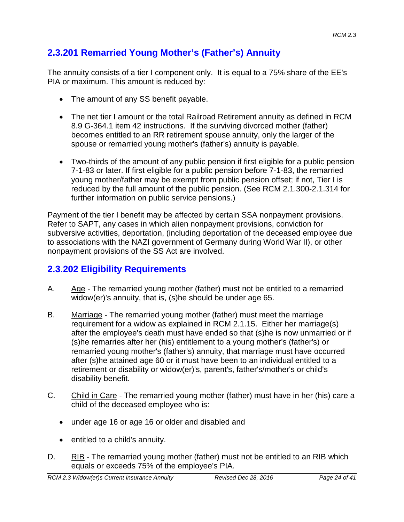# **2.3.201 Remarried Young Mother's (Father's) Annuity**

The annuity consists of a tier I component only. It is equal to a 75% share of the EE's PIA or maximum. This amount is reduced by:

- The amount of any SS benefit payable.
- The net tier I amount or the total Railroad Retirement annuity as defined in RCM 8.9 G-364.1 item 42 instructions. If the surviving divorced mother (father) becomes entitled to an RR retirement spouse annuity, only the larger of the spouse or remarried young mother's (father's) annuity is payable.
- Two-thirds of the amount of any public pension if first eligible for a public pension 7-1-83 or later. If first eligible for a public pension before 7-1-83, the remarried young mother/father may be exempt from public pension offset; if not, Tier I is reduced by the full amount of the public pension. (See RCM 2.1.300-2.1.314 for further information on public service pensions.)

Payment of the tier I benefit may be affected by certain SSA nonpayment provisions. Refer to SAPT, any cases in which alien nonpayment provisions, conviction for subversive activities, deportation, (including deportation of the deceased employee due to associations with the NAZI government of Germany during World War II), or other nonpayment provisions of the SS Act are involved.

# **2.3.202 Eligibility Requirements**

- A. Age The remarried young mother (father) must not be entitled to a remarried widow(er)'s annuity, that is, (s)he should be under age 65.
- B. Marriage The remarried young mother (father) must meet the marriage requirement for a widow as explained in RCM 2.1.15. Either her marriage(s) after the employee's death must have ended so that (s)he is now unmarried or if (s)he remarries after her (his) entitlement to a young mother's (father's) or remarried young mother's (father's) annuity, that marriage must have occurred after (s)he attained age 60 or it must have been to an individual entitled to a retirement or disability or widow(er)'s, parent's, father's/mother's or child's disability benefit.
- C. Child in Care The remarried young mother (father) must have in her (his) care a child of the deceased employee who is:
	- under age 16 or age 16 or older and disabled and
	- entitled to a child's annuity.
- D. RIB The remarried young mother (father) must not be entitled to an RIB which equals or exceeds 75% of the employee's PIA.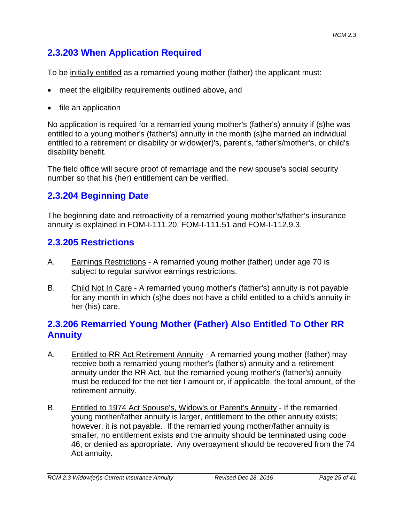# **2.3.203 When Application Required**

To be initially entitled as a remarried young mother (father) the applicant must:

- meet the eligibility requirements outlined above, and
- file an application

No application is required for a remarried young mother's (father's) annuity if (s)he was entitled to a young mother's (father's) annuity in the month (s)he married an individual entitled to a retirement or disability or widow(er)'s, parent's, father's/mother's, or child's disability benefit.

The field office will secure proof of remarriage and the new spouse's social security number so that his (her) entitlement can be verified.

# **2.3.204 Beginning Date**

The beginning date and retroactivity of a remarried young mother's/father's insurance annuity is explained in FOM-I-111.20, FOM-I-111.51 and FOM-I-112.9.3.

## **2.3.205 Restrictions**

- A. Earnings Restrictions A remarried young mother (father) under age 70 is subject to regular survivor earnings restrictions.
- B. Child Not In Care A remarried young mother's (father's) annuity is not payable for any month in which (s)he does not have a child entitled to a child's annuity in her (his) care.

## **2.3.206 Remarried Young Mother (Father) Also Entitled To Other RR Annuity**

- A. Entitled to RR Act Retirement Annuity A remarried young mother (father) may receive both a remarried young mother's (father's) annuity and a retirement annuity under the RR Act, but the remarried young mother's (father's) annuity must be reduced for the net tier I amount or, if applicable, the total amount, of the retirement annuity.
- B. Entitled to 1974 Act Spouse's, Widow's or Parent's Annuity If the remarried young mother/father annuity is larger, entitlement to the other annuity exists; however, it is not payable. If the remarried young mother/father annuity is smaller, no entitlement exists and the annuity should be terminated using code 46, or denied as appropriate. Any overpayment should be recovered from the 74 Act annuity.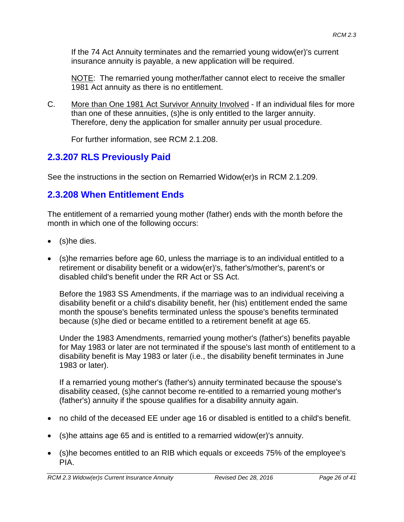If the 74 Act Annuity terminates and the remarried young widow(er)'s current insurance annuity is payable, a new application will be required.

NOTE: The remarried young mother/father cannot elect to receive the smaller 1981 Act annuity as there is no entitlement.

C. More than One 1981 Act Survivor Annuity Involved - If an individual files for more than one of these annuities, (s)he is only entitled to the larger annuity. Therefore, deny the application for smaller annuity per usual procedure.

For further information, see RCM 2.1.208.

# **2.3.207 RLS Previously Paid**

See the instructions in the section on Remarried Widow(er)s in RCM 2.1.209.

# **2.3.208 When Entitlement Ends**

The entitlement of a remarried young mother (father) ends with the month before the month in which one of the following occurs:

- (s)he dies.
- (s)he remarries before age 60, unless the marriage is to an individual entitled to a retirement or disability benefit or a widow(er)'s, father's/mother's, parent's or disabled child's benefit under the RR Act or SS Act.

Before the 1983 SS Amendments, if the marriage was to an individual receiving a disability benefit or a child's disability benefit, her (his) entitlement ended the same month the spouse's benefits terminated unless the spouse's benefits terminated because (s)he died or became entitled to a retirement benefit at age 65.

Under the 1983 Amendments, remarried young mother's (father's) benefits payable for May 1983 or later are not terminated if the spouse's last month of entitlement to a disability benefit is May 1983 or later (i.e., the disability benefit terminates in June 1983 or later).

If a remarried young mother's (father's) annuity terminated because the spouse's disability ceased, (s)he cannot become re-entitled to a remarried young mother's (father's) annuity if the spouse qualifies for a disability annuity again.

- no child of the deceased EE under age 16 or disabled is entitled to a child's benefit.
- (s)he attains age 65 and is entitled to a remarried widow(er)'s annuity.
- (s)he becomes entitled to an RIB which equals or exceeds 75% of the employee's PIA.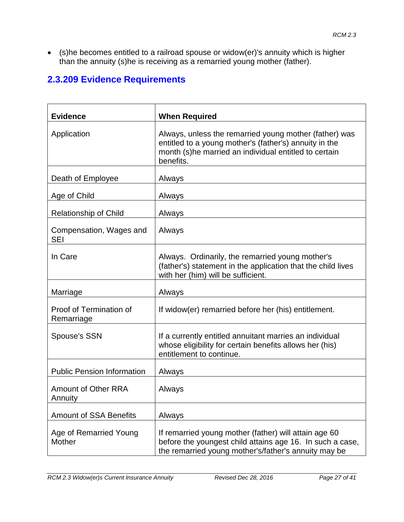• (s)he becomes entitled to a railroad spouse or widow(er)'s annuity which is higher than the annuity (s)he is receiving as a remarried young mother (father).

# **2.3.209 Evidence Requirements**

| <b>Evidence</b>                       | <b>When Required</b>                                                                                                                                                                   |
|---------------------------------------|----------------------------------------------------------------------------------------------------------------------------------------------------------------------------------------|
| Application                           | Always, unless the remarried young mother (father) was<br>entitled to a young mother's (father's) annuity in the<br>month (s)he married an individual entitled to certain<br>benefits. |
| Death of Employee                     | Always                                                                                                                                                                                 |
| Age of Child                          | Always                                                                                                                                                                                 |
| <b>Relationship of Child</b>          | Always                                                                                                                                                                                 |
| Compensation, Wages and<br><b>SEI</b> | Always                                                                                                                                                                                 |
| In Care                               | Always. Ordinarily, the remarried young mother's<br>(father's) statement in the application that the child lives<br>with her (him) will be sufficient.                                 |
| Marriage                              | Always                                                                                                                                                                                 |
| Proof of Termination of<br>Remarriage | If widow(er) remarried before her (his) entitlement.                                                                                                                                   |
| <b>Spouse's SSN</b>                   | If a currently entitled annuitant marries an individual<br>whose eligibility for certain benefits allows her (his)<br>entitlement to continue.                                         |
| <b>Public Pension Information</b>     | Always                                                                                                                                                                                 |
| <b>Amount of Other RRA</b><br>Annuity | Always                                                                                                                                                                                 |
| <b>Amount of SSA Benefits</b>         | Always                                                                                                                                                                                 |
| Age of Remarried Young<br>Mother      | If remarried young mother (father) will attain age 60<br>before the youngest child attains age 16. In such a case,<br>the remarried young mother's/father's annuity may be             |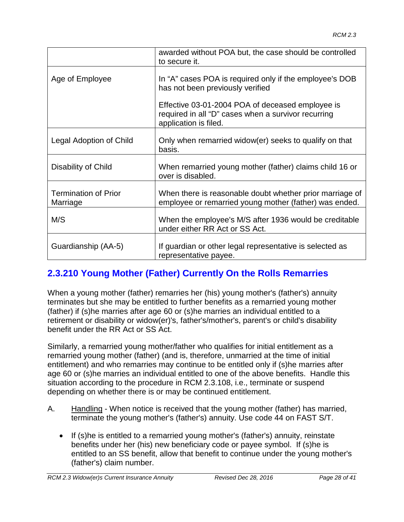|                                         | awarded without POA but, the case should be controlled<br>to secure it.                                                          |
|-----------------------------------------|----------------------------------------------------------------------------------------------------------------------------------|
| Age of Employee                         | In "A" cases POA is required only if the employee's DOB<br>has not been previously verified                                      |
|                                         | Effective 03-01-2004 POA of deceased employee is<br>required in all "D" cases when a survivor recurring<br>application is filed. |
| Legal Adoption of Child                 | Only when remarried widow(er) seeks to qualify on that<br>basis.                                                                 |
| Disability of Child                     | When remarried young mother (father) claims child 16 or<br>over is disabled.                                                     |
| <b>Termination of Prior</b><br>Marriage | When there is reasonable doubt whether prior marriage of<br>employee or remarried young mother (father) was ended.               |
| M/S                                     | When the employee's M/S after 1936 would be creditable<br>under either RR Act or SS Act.                                         |
| Guardianship (AA-5)                     | If guardian or other legal representative is selected as<br>representative payee.                                                |

# **2.3.210 Young Mother (Father) Currently On the Rolls Remarries**

When a young mother (father) remarries her (his) young mother's (father's) annuity terminates but she may be entitled to further benefits as a remarried young mother (father) if (s)he marries after age 60 or (s)he marries an individual entitled to a retirement or disability or widow(er)'s, father's/mother's, parent's or child's disability benefit under the RR Act or SS Act.

Similarly, a remarried young mother/father who qualifies for initial entitlement as a remarried young mother (father) (and is, therefore, unmarried at the time of initial entitlement) and who remarries may continue to be entitled only if (s)he marries after age 60 or (s)he marries an individual entitled to one of the above benefits. Handle this situation according to the procedure in RCM 2.3.108, i.e., terminate or suspend depending on whether there is or may be continued entitlement.

- A. Handling When notice is received that the young mother (father) has married, terminate the young mother's (father's) annuity. Use code 44 on FAST S/T.
	- If (s)he is entitled to a remarried young mother's (father's) annuity, reinstate benefits under her (his) new beneficiary code or payee symbol. If (s)he is entitled to an SS benefit, allow that benefit to continue under the young mother's (father's) claim number.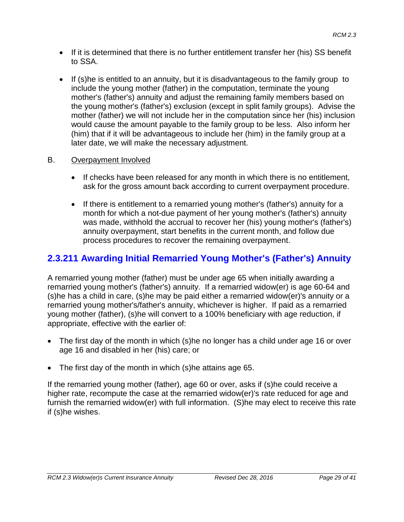- If it is determined that there is no further entitlement transfer her (his) SS benefit to SSA.
- If (s)he is entitled to an annuity, but it is disadvantageous to the family group to include the young mother (father) in the computation, terminate the young mother's (father's) annuity and adjust the remaining family members based on the young mother's (father's) exclusion (except in split family groups). Advise the mother (father) we will not include her in the computation since her (his) inclusion would cause the amount payable to the family group to be less. Also inform her (him) that if it will be advantageous to include her (him) in the family group at a later date, we will make the necessary adjustment.

#### B. Overpayment Involved

- If checks have been released for any month in which there is no entitlement, ask for the gross amount back according to current overpayment procedure.
- If there is entitlement to a remarried young mother's (father's) annuity for a month for which a not-due payment of her young mother's (father's) annuity was made, withhold the accrual to recover her (his) young mother's (father's) annuity overpayment, start benefits in the current month, and follow due process procedures to recover the remaining overpayment.

## **2.3.211 Awarding Initial Remarried Young Mother's (Father's) Annuity**

A remarried young mother (father) must be under age 65 when initially awarding a remarried young mother's (father's) annuity. If a remarried widow(er) is age 60-64 and (s)he has a child in care, (s)he may be paid either a remarried widow(er)'s annuity or a remarried young mother's/father's annuity, whichever is higher. If paid as a remarried young mother (father), (s)he will convert to a 100% beneficiary with age reduction, if appropriate, effective with the earlier of:

- The first day of the month in which (s) he no longer has a child under age 16 or over age 16 and disabled in her (his) care; or
- The first day of the month in which (s)he attains age 65.

If the remarried young mother (father), age 60 or over, asks if (s)he could receive a higher rate, recompute the case at the remarried widow(er)'s rate reduced for age and furnish the remarried widow(er) with full information. (S)he may elect to receive this rate if (s)he wishes.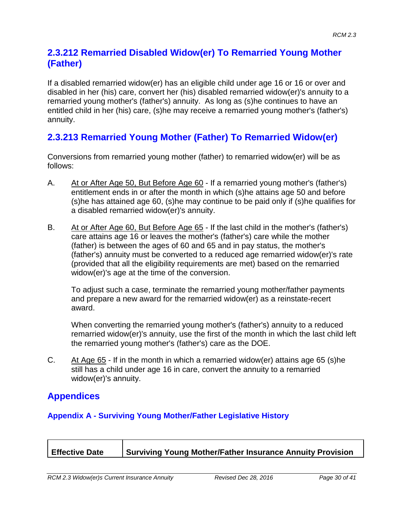#### **2.3.212 Remarried Disabled Widow(er) To Remarried Young Mother (Father)**

If a disabled remarried widow(er) has an eligible child under age 16 or 16 or over and disabled in her (his) care, convert her (his) disabled remarried widow(er)'s annuity to a remarried young mother's (father's) annuity. As long as (s)he continues to have an entitled child in her (his) care, (s)he may receive a remarried young mother's (father's) annuity.

## **2.3.213 Remarried Young Mother (Father) To Remarried Widow(er)**

Conversions from remarried young mother (father) to remarried widow(er) will be as follows:

- A. At or After Age 50, But Before Age 60 If a remarried young mother's (father's) entitlement ends in or after the month in which (s)he attains age 50 and before (s)he has attained age 60, (s)he may continue to be paid only if (s)he qualifies for a disabled remarried widow(er)'s annuity.
- B. At or After Age 60, But Before Age 65 If the last child in the mother's (father's) care attains age 16 or leaves the mother's (father's) care while the mother (father) is between the ages of 60 and 65 and in pay status, the mother's (father's) annuity must be converted to a reduced age remarried widow(er)'s rate (provided that all the eligibility requirements are met) based on the remarried widow(er)'s age at the time of the conversion.

To adjust such a case, terminate the remarried young mother/father payments and prepare a new award for the remarried widow(er) as a reinstate-recert award.

When converting the remarried young mother's (father's) annuity to a reduced remarried widow(er)'s annuity, use the first of the month in which the last child left the remarried young mother's (father's) care as the DOE.

C. At Age 65 - If in the month in which a remarried widow(er) attains age 65 (s)he still has a child under age 16 in care, convert the annuity to a remarried widow(er)'s annuity.

### **Appendices**

#### **Appendix A - Surviving Young Mother/Father Legislative History**

| <b>Effective Date</b> | Surviving Young Mother/Father Insurance Annuity Provision |
|-----------------------|-----------------------------------------------------------|
|                       |                                                           |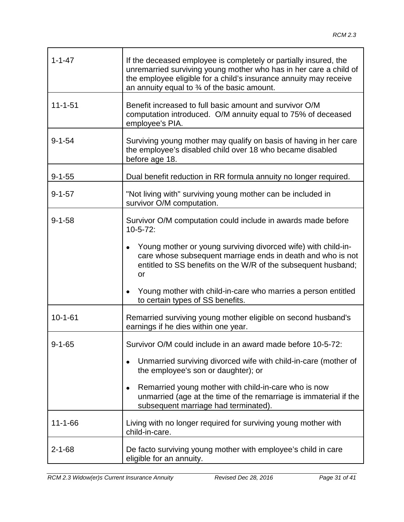| $1 - 1 - 47$  | If the deceased employee is completely or partially insured, the<br>unremarried surviving young mother who has in her care a child of<br>the employee eligible for a child's insurance annuity may receive<br>an annuity equal to $\frac{3}{4}$ of the basic amount. |
|---------------|----------------------------------------------------------------------------------------------------------------------------------------------------------------------------------------------------------------------------------------------------------------------|
| $11 - 1 - 51$ | Benefit increased to full basic amount and survivor O/M<br>computation introduced. O/M annuity equal to 75% of deceased<br>employee's PIA.                                                                                                                           |
| $9 - 1 - 54$  | Surviving young mother may qualify on basis of having in her care<br>the employee's disabled child over 18 who became disabled<br>before age 18.                                                                                                                     |
| $9 - 1 - 55$  | Dual benefit reduction in RR formula annuity no longer required.                                                                                                                                                                                                     |
| $9 - 1 - 57$  | "Not living with" surviving young mother can be included in<br>survivor O/M computation.                                                                                                                                                                             |
| $9 - 1 - 58$  | Survivor O/M computation could include in awards made before<br>$10 - 5 - 72$ :                                                                                                                                                                                      |
|               | Young mother or young surviving divorced wife) with child-in-<br>care whose subsequent marriage ends in death and who is not<br>entitled to SS benefits on the W/R of the subsequent husband;<br>or                                                                  |
|               | Young mother with child-in-care who marries a person entitled<br>to certain types of SS benefits.                                                                                                                                                                    |
| $10 - 1 - 61$ | Remarried surviving young mother eligible on second husband's<br>earnings if he dies within one year.                                                                                                                                                                |
| $9 - 1 - 65$  | Survivor O/M could include in an award made before 10-5-72:                                                                                                                                                                                                          |
|               | Unmarried surviving divorced wife with child-in-care (mother of<br>the employee's son or daughter); or                                                                                                                                                               |
|               | Remarried young mother with child-in-care who is now<br>unmarried (age at the time of the remarriage is immaterial if the<br>subsequent marriage had terminated).                                                                                                    |
| $11 - 1 - 66$ | Living with no longer required for surviving young mother with<br>child-in-care.                                                                                                                                                                                     |
| $2 - 1 - 68$  | De facto surviving young mother with employee's child in care<br>eligible for an annuity.                                                                                                                                                                            |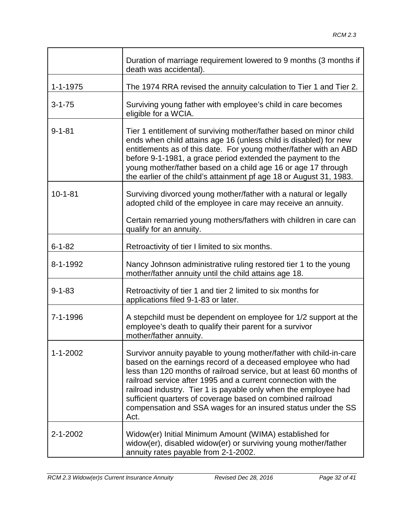|                | Duration of marriage requirement lowered to 9 months (3 months if<br>death was accidental).                                                                                                                                                                                                                                                                                                                                                                                         |
|----------------|-------------------------------------------------------------------------------------------------------------------------------------------------------------------------------------------------------------------------------------------------------------------------------------------------------------------------------------------------------------------------------------------------------------------------------------------------------------------------------------|
| $1 - 1 - 1975$ | The 1974 RRA revised the annuity calculation to Tier 1 and Tier 2.                                                                                                                                                                                                                                                                                                                                                                                                                  |
| $3 - 1 - 75$   | Surviving young father with employee's child in care becomes<br>eligible for a WCIA.                                                                                                                                                                                                                                                                                                                                                                                                |
| $9 - 1 - 81$   | Tier 1 entitlement of surviving mother/father based on minor child<br>ends when child attains age 16 (unless child is disabled) for new<br>entitlements as of this date. For young mother/father with an ABD<br>before 9-1-1981, a grace period extended the payment to the<br>young mother/father based on a child age 16 or age 17 through<br>the earlier of the child's attainment pf age 18 or August 31, 1983.                                                                 |
| $10 - 1 - 81$  | Surviving divorced young mother/father with a natural or legally<br>adopted child of the employee in care may receive an annuity.<br>Certain remarried young mothers/fathers with children in care can                                                                                                                                                                                                                                                                              |
|                | qualify for an annuity.                                                                                                                                                                                                                                                                                                                                                                                                                                                             |
| $6 - 1 - 82$   | Retroactivity of tier I limited to six months.                                                                                                                                                                                                                                                                                                                                                                                                                                      |
| 8-1-1992       | Nancy Johnson administrative ruling restored tier 1 to the young<br>mother/father annuity until the child attains age 18.                                                                                                                                                                                                                                                                                                                                                           |
| $9 - 1 - 83$   | Retroactivity of tier 1 and tier 2 limited to six months for<br>applications filed 9-1-83 or later.                                                                                                                                                                                                                                                                                                                                                                                 |
| 7-1-1996       | A stepchild must be dependent on employee for 1/2 support at the<br>employee's death to qualify their parent for a survivor<br>mother/father annuity.                                                                                                                                                                                                                                                                                                                               |
| $1 - 1 - 2002$ | Survivor annuity payable to young mother/father with child-in-care<br>based on the earnings record of a deceased employee who had<br>less than 120 months of railroad service, but at least 60 months of<br>railroad service after 1995 and a current connection with the<br>railroad industry. Tier 1 is payable only when the employee had<br>sufficient quarters of coverage based on combined railroad<br>compensation and SSA wages for an insured status under the SS<br>Act. |
| 2-1-2002       | Widow(er) Initial Minimum Amount (WIMA) established for<br>widow(er), disabled widow(er) or surviving young mother/father<br>annuity rates payable from 2-1-2002.                                                                                                                                                                                                                                                                                                                   |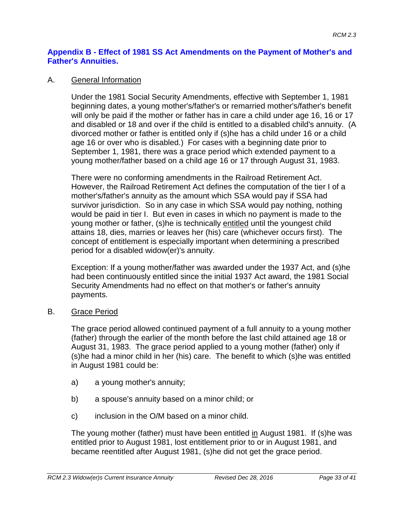#### **Appendix B - Effect of 1981 SS Act Amendments on the Payment of Mother's and Father's Annuities.**

#### A. General Information

Under the 1981 Social Security Amendments, effective with September 1, 1981 beginning dates, a young mother's/father's or remarried mother's/father's benefit will only be paid if the mother or father has in care a child under age 16, 16 or 17 and disabled or 18 and over if the child is entitled to a disabled child's annuity. (A divorced mother or father is entitled only if (s)he has a child under 16 or a child age 16 or over who is disabled.) For cases with a beginning date prior to September 1, 1981, there was a grace period which extended payment to a young mother/father based on a child age 16 or 17 through August 31, 1983.

There were no conforming amendments in the Railroad Retirement Act. However, the Railroad Retirement Act defines the computation of the tier I of a mother's/father's annuity as the amount which SSA would pay if SSA had survivor jurisdiction. So in any case in which SSA would pay nothing, nothing would be paid in tier I. But even in cases in which no payment is made to the young mother or father, (s)he is technically entitled until the youngest child attains 18, dies, marries or leaves her (his) care (whichever occurs first). The concept of entitlement is especially important when determining a prescribed period for a disabled widow(er)'s annuity.

Exception: If a young mother/father was awarded under the 1937 Act, and (s)he had been continuously entitled since the initial 1937 Act award, the 1981 Social Security Amendments had no effect on that mother's or father's annuity payments.

#### B. Grace Period

The grace period allowed continued payment of a full annuity to a young mother (father) through the earlier of the month before the last child attained age 18 or August 31, 1983. The grace period applied to a young mother (father) only if (s)he had a minor child in her (his) care. The benefit to which (s)he was entitled in August 1981 could be:

- a) a young mother's annuity;
- b) a spouse's annuity based on a minor child; or
- c) inclusion in the O/M based on a minor child.

The young mother (father) must have been entitled in August 1981. If (s)he was entitled prior to August 1981, lost entitlement prior to or in August 1981, and became reentitled after August 1981, (s)he did not get the grace period.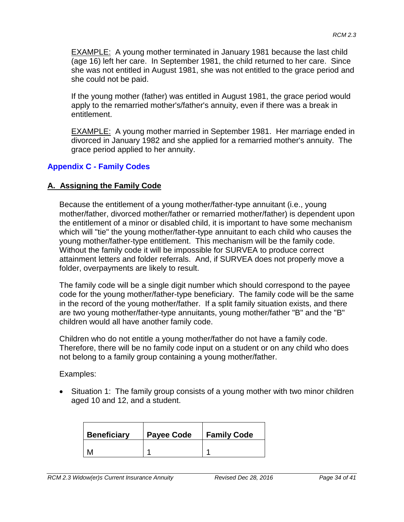EXAMPLE: A young mother terminated in January 1981 because the last child (age 16) left her care. In September 1981, the child returned to her care. Since she was not entitled in August 1981, she was not entitled to the grace period and she could not be paid.

If the young mother (father) was entitled in August 1981, the grace period would apply to the remarried mother's/father's annuity, even if there was a break in entitlement.

EXAMPLE: A young mother married in September 1981. Her marriage ended in divorced in January 1982 and she applied for a remarried mother's annuity. The grace period applied to her annuity.

#### **Appendix C - Family Codes**

#### **A. Assigning the Family Code**

Because the entitlement of a young mother/father-type annuitant (i.e., young mother/father, divorced mother/father or remarried mother/father) is dependent upon the entitlement of a minor or disabled child, it is important to have some mechanism which will "tie" the young mother/father-type annuitant to each child who causes the young mother/father-type entitlement. This mechanism will be the family code. Without the family code it will be impossible for SURVEA to produce correct attainment letters and folder referrals. And, if SURVEA does not properly move a folder, overpayments are likely to result.

The family code will be a single digit number which should correspond to the payee code for the young mother/father-type beneficiary. The family code will be the same in the record of the young mother/father. If a split family situation exists, and there are two young mother/father-type annuitants, young mother/father "B" and the "B" children would all have another family code.

Children who do not entitle a young mother/father do not have a family code. Therefore, there will be no family code input on a student or on any child who does not belong to a family group containing a young mother/father.

Examples:

• Situation 1: The family group consists of a young mother with two minor children aged 10 and 12, and a student.

| <b>Beneficiary</b> | <b>Payee Code</b> | <b>Family Code</b> |
|--------------------|-------------------|--------------------|
|                    |                   |                    |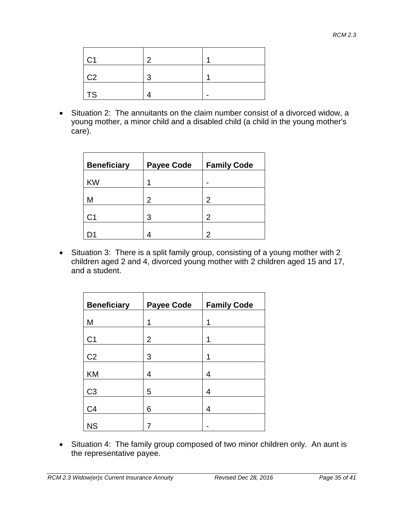| C <sub>1</sub> | っ |  |
|----------------|---|--|
| $\overline{C}$ | ว |  |
| TS             |   |  |

• Situation 2: The annuitants on the claim number consist of a divorced widow, a young mother, a minor child and a disabled child (a child in the young mother's care).

| <b>Beneficiary</b> | <b>Payee Code</b> | <b>Family Code</b> |
|--------------------|-------------------|--------------------|
| <b>KW</b>          | и                 |                    |
| М                  | $\overline{2}$    | $\overline{2}$     |
| С1                 | 3                 | $\overline{2}$     |
|                    |                   | 2                  |

• Situation 3: There is a split family group, consisting of a young mother with 2 children aged 2 and 4, divorced young mother with 2 children aged 15 and 17, and a student.

| <b>Beneficiary</b> | <b>Payee Code</b> | <b>Family Code</b> |
|--------------------|-------------------|--------------------|
| M                  | 1                 | 1                  |
| C <sub>1</sub>     | $\overline{2}$    | 1                  |
| C <sub>2</sub>     | 3                 | 1                  |
| KM                 | 4                 | 4                  |
| C <sub>3</sub>     | 5                 | 4                  |
| C <sub>4</sub>     | 6                 | 4                  |
| <b>NS</b>          |                   |                    |

• Situation 4: The family group composed of two minor children only. An aunt is the representative payee.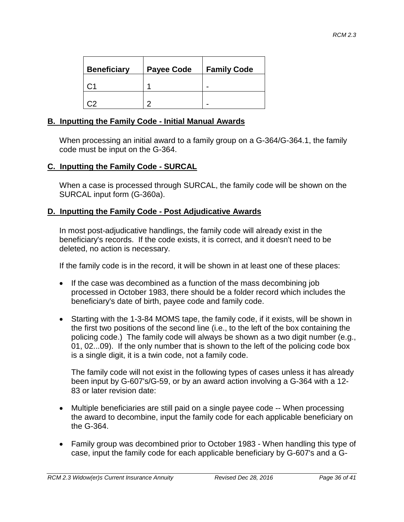| <b>Beneficiary</b> | <b>Payee Code</b> | <b>Family Code</b> |
|--------------------|-------------------|--------------------|
|                    |                   |                    |
|                    |                   |                    |

#### **B. Inputting the Family Code - Initial Manual Awards**

When processing an initial award to a family group on a G-364/G-364.1, the family code must be input on the G-364.

#### **C. Inputting the Family Code - SURCAL**

When a case is processed through SURCAL, the family code will be shown on the SURCAL input form (G-360a).

#### **D. Inputting the Family Code - Post Adjudicative Awards**

In most post-adjudicative handlings, the family code will already exist in the beneficiary's records. If the code exists, it is correct, and it doesn't need to be deleted, no action is necessary.

If the family code is in the record, it will be shown in at least one of these places:

- If the case was decombined as a function of the mass decombining job processed in October 1983, there should be a folder record which includes the beneficiary's date of birth, payee code and family code.
- Starting with the 1-3-84 MOMS tape, the family code, if it exists, will be shown in the first two positions of the second line (i.e., to the left of the box containing the policing code.) The family code will always be shown as a two digit number (e.g., 01, 02...09). If the only number that is shown to the left of the policing code box is a single digit, it is a twin code, not a family code.

The family code will not exist in the following types of cases unless it has already been input by G-607's/G-59, or by an award action involving a G-364 with a 12- 83 or later revision date:

- Multiple beneficiaries are still paid on a single payee code -- When processing the award to decombine, input the family code for each applicable beneficiary on the G-364.
- Family group was decombined prior to October 1983 When handling this type of case, input the family code for each applicable beneficiary by G-607's and a G-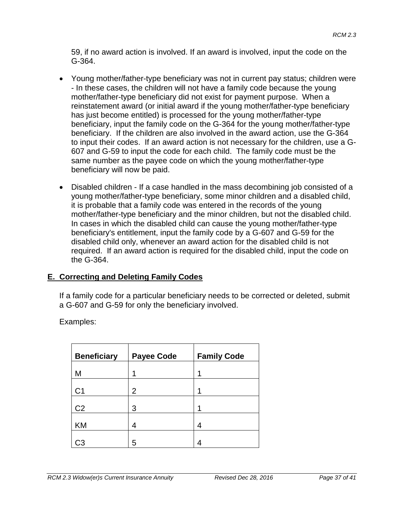59, if no award action is involved. If an award is involved, input the code on the G-364.

- Young mother/father-type beneficiary was not in current pay status; children were - In these cases, the children will not have a family code because the young mother/father-type beneficiary did not exist for payment purpose. When a reinstatement award (or initial award if the young mother/father-type beneficiary has just become entitled) is processed for the young mother/father-type beneficiary, input the family code on the G-364 for the young mother/father-type beneficiary. If the children are also involved in the award action, use the G-364 to input their codes. If an award action is not necessary for the children, use a G-607 and G-59 to input the code for each child. The family code must be the same number as the payee code on which the young mother/father-type beneficiary will now be paid.
- Disabled children If a case handled in the mass decombining job consisted of a young mother/father-type beneficiary, some minor children and a disabled child, it is probable that a family code was entered in the records of the young mother/father-type beneficiary and the minor children, but not the disabled child. In cases in which the disabled child can cause the young mother/father-type beneficiary's entitlement, input the family code by a G-607 and G-59 for the disabled child only, whenever an award action for the disabled child is not required. If an award action is required for the disabled child, input the code on the G-364.

#### **E. Correcting and Deleting Family Codes**

If a family code for a particular beneficiary needs to be corrected or deleted, submit a G-607 and G-59 for only the beneficiary involved.

Examples:

| <b>Beneficiary</b> | <b>Payee Code</b> | <b>Family Code</b> |
|--------------------|-------------------|--------------------|
| M                  | 1                 | 1                  |
| C <sub>1</sub>     | 2                 | 1                  |
| C <sub>2</sub>     | 3                 | 1                  |
| <b>KM</b>          | 4                 | 4                  |
| :З                 | 5                 |                    |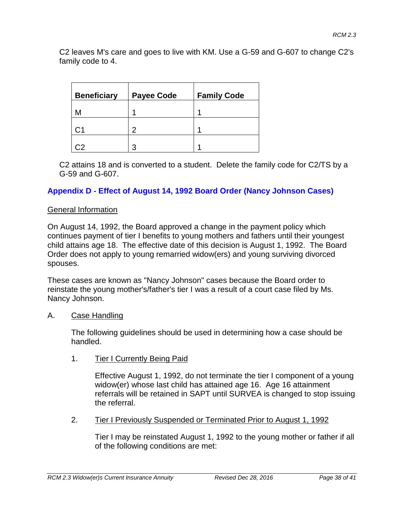C2 leaves M's care and goes to live with KM. Use a G-59 and G-607 to change C2's family code to 4.

| <b>Beneficiary</b> | <b>Payee Code</b> | <b>Family Code</b> |
|--------------------|-------------------|--------------------|
| М                  |                   |                    |
| С1                 | 2                 |                    |
|                    | ว                 |                    |

C2 attains 18 and is converted to a student. Delete the family code for C2/TS by a G-59 and G-607.

#### **Appendix D - Effect of August 14, 1992 Board Order (Nancy Johnson Cases)**

#### General Information

On August 14, 1992, the Board approved a change in the payment policy which continues payment of tier I benefits to young mothers and fathers until their youngest child attains age 18. The effective date of this decision is August 1, 1992. The Board Order does not apply to young remarried widow(ers) and young surviving divorced spouses.

These cases are known as "Nancy Johnson" cases because the Board order to reinstate the young mother's/father's tier I was a result of a court case filed by Ms. Nancy Johnson.

#### A. Case Handling

The following guidelines should be used in determining how a case should be handled.

1. Tier I Currently Being Paid

Effective August 1, 1992, do not terminate the tier I component of a young widow(er) whose last child has attained age 16. Age 16 attainment referrals will be retained in SAPT until SURVEA is changed to stop issuing the referral.

2. Tier I Previously Suspended or Terminated Prior to August 1, 1992

Tier I may be reinstated August 1, 1992 to the young mother or father if all of the following conditions are met: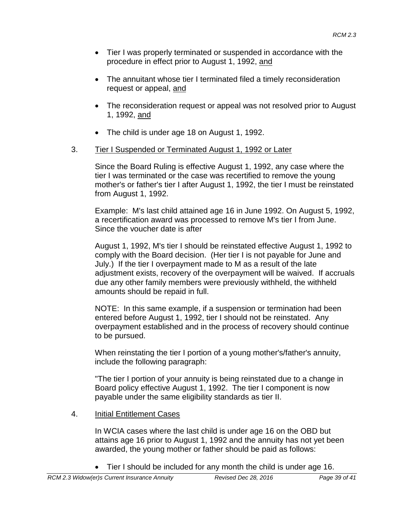- Tier I was properly terminated or suspended in accordance with the procedure in effect prior to August 1, 1992, and
- The annuitant whose tier I terminated filed a timely reconsideration request or appeal, and
- The reconsideration request or appeal was not resolved prior to August 1, 1992, and
- The child is under age 18 on August 1, 1992.

#### 3. Tier I Suspended or Terminated August 1, 1992 or Later

Since the Board Ruling is effective August 1, 1992, any case where the tier I was terminated or the case was recertified to remove the young mother's or father's tier I after August 1, 1992, the tier I must be reinstated from August 1, 1992.

Example: M's last child attained age 16 in June 1992. On August 5, 1992, a recertification award was processed to remove M's tier I from June. Since the voucher date is after

August 1, 1992, M's tier I should be reinstated effective August 1, 1992 to comply with the Board decision. (Her tier I is not payable for June and July.) If the tier I overpayment made to M as a result of the late adjustment exists, recovery of the overpayment will be waived. If accruals due any other family members were previously withheld, the withheld amounts should be repaid in full.

NOTE: In this same example, if a suspension or termination had been entered before August 1, 1992, tier I should not be reinstated. Any overpayment established and in the process of recovery should continue to be pursued.

When reinstating the tier I portion of a young mother's/father's annuity, include the following paragraph:

"The tier I portion of your annuity is being reinstated due to a change in Board policy effective August 1, 1992. The tier I component is now payable under the same eligibility standards as tier II.

#### 4. Initial Entitlement Cases

In WCIA cases where the last child is under age 16 on the OBD but attains age 16 prior to August 1, 1992 and the annuity has not yet been awarded, the young mother or father should be paid as follows:

• Tier I should be included for any month the child is under age 16.